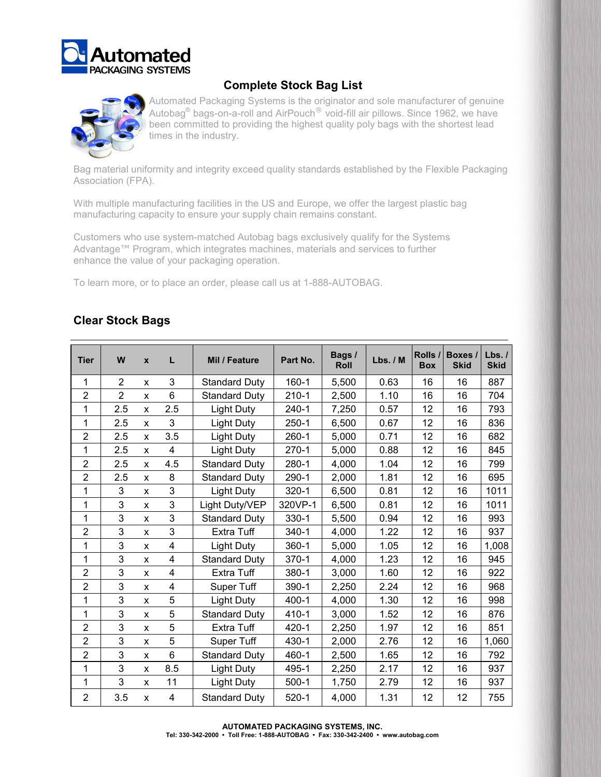



# **Complete Stock Bag List**

Automated Packaging Systems is the originator and sole manufacturer of genuine Autobag $^\circ$  bags-on-a-roll and AirPouch $^\circ$  void-fill air pillows. Since 1962, we have been committed to providing the highest quality poly bags with the shortest lead times in the industry.

Bag material uniformity and integrity exceed quality standards established by the Flexible Packaging Association (FPA).

With multiple manufacturing facilities in the US and Europe, we offer the largest plastic bag manufacturing capacity to ensure your supply chain remains constant.

Customers who use system-matched Autobag bags exclusively qualify for the Systems Advantage™ Program, which integrates machines, materials and services to further enhance the value of your packaging operation.

To learn more, or to place an order, please call us at 1-888-AUTOBAG.

|  | <b>Clear Stock Bags</b> |  |
|--|-------------------------|--|
|--|-------------------------|--|

| <b>Tier</b>    | W              | $\boldsymbol{x}$ | L                       | Mil / Feature        | Part No.  | Bags /<br><b>Roll</b> | Lbs. / M | Rolls /<br><b>Box</b> | Boxes /<br><b>Skid</b> | Lbs.<br><b>Skid</b> |
|----------------|----------------|------------------|-------------------------|----------------------|-----------|-----------------------|----------|-----------------------|------------------------|---------------------|
| 1              | 2              | x                | 3                       | <b>Standard Duty</b> | $160 - 1$ | 5,500                 | 0.63     | 16                    | 16                     | 887                 |
| $\overline{2}$ | $\overline{2}$ | X                | 6                       | <b>Standard Duty</b> | $210 - 1$ | 2,500                 | 1.10     | 16                    | 16                     | 704                 |
| 1              | 2.5            | X                | 2.5                     | <b>Light Duty</b>    | $240 - 1$ | 7,250                 | 0.57     | 12                    | 16                     | 793                 |
| 1              | 2.5            | X                | 3                       | <b>Light Duty</b>    | $250 - 1$ | 6,500                 | 0.67     | 12                    | 16                     | 836                 |
| $\overline{2}$ | 2.5            | X                | 3.5                     | <b>Light Duty</b>    | $260 - 1$ | 5,000                 | 0.71     | 12                    | 16                     | 682                 |
| 1              | 2.5            | X                | $\overline{4}$          | <b>Light Duty</b>    | $270-1$   | 5,000                 | 0.88     | 12                    | 16                     | 845                 |
| $\overline{2}$ | 2.5            | X                | 4.5                     | <b>Standard Duty</b> | $280 - 1$ | 4,000                 | 1.04     | 12                    | 16                     | 799                 |
| $\overline{2}$ | 2.5            | X                | 8                       | <b>Standard Duty</b> | $290 - 1$ | 2,000                 | 1.81     | 12                    | 16                     | 695                 |
| 1              | 3              | X                | 3                       | <b>Light Duty</b>    | $320 - 1$ | 6,500                 | 0.81     | 12                    | 16                     | 1011                |
| 1              | 3              | X                | 3                       | Light Duty/VEP       | 320VP-1   | 6,500                 | 0.81     | 12                    | 16                     | 1011                |
| 1              | 3              | X                | 3                       | <b>Standard Duty</b> | 330-1     | 5,500                 | 0.94     | 12                    | 16                     | 993                 |
| 2              | 3              | X                | 3                       | <b>Extra Tuff</b>    | $340 - 1$ | 4,000                 | 1.22     | 12                    | 16                     | 937                 |
| 1              | 3              | X                | $\overline{\mathbf{4}}$ | <b>Light Duty</b>    | $360 - 1$ | 5,000                 | 1.05     | 12                    | 16                     | 1,008               |
| 1              | 3              | X                | $\overline{\mathbf{4}}$ | <b>Standard Duty</b> | $370 - 1$ | 4,000                 | 1.23     | 12                    | 16                     | 945                 |
| $\overline{2}$ | 3              | X                | $\overline{\mathbf{4}}$ | <b>Extra Tuff</b>    | 380-1     | 3,000                 | 1.60     | 12                    | 16                     | 922                 |
| $\overline{2}$ | 3              | X                | $\overline{4}$          | Super Tuff           | 390-1     | 2,250                 | 2.24     | 12                    | 16                     | 968                 |
| 1              | 3              | X                | 5                       | <b>Light Duty</b>    | $400 - 1$ | 4,000                 | 1.30     | 12                    | 16                     | 998                 |
| 1              | 3              | X                | 5                       | <b>Standard Duty</b> | 410-1     | 3,000                 | 1.52     | 12                    | 16                     | 876                 |
| $\overline{2}$ | 3              | X                | 5                       | <b>Extra Tuff</b>    | $420 - 1$ | 2,250                 | 1.97     | 12                    | 16                     | 851                 |
| $\overline{2}$ | 3              | X                | 5                       | Super Tuff           | 430-1     | 2,000                 | 2.76     | 12                    | 16                     | 1,060               |
| $\overline{2}$ | 3              | X                | 6                       | <b>Standard Duty</b> | 460-1     | 2,500                 | 1.65     | 12                    | 16                     | 792                 |
| 1              | 3              | X                | 8.5                     | Light Duty           | 495-1     | 2,250                 | 2.17     | 12                    | 16                     | 937                 |
| 1              | 3              | x                | 11                      | <b>Light Duty</b>    | $500-1$   | 1,750                 | 2.79     | 12                    | 16                     | 937                 |
| $\overline{2}$ | 3.5            | X                | 4                       | <b>Standard Duty</b> | $520 - 1$ | 4,000                 | 1.31     | 12                    | 12                     | 755                 |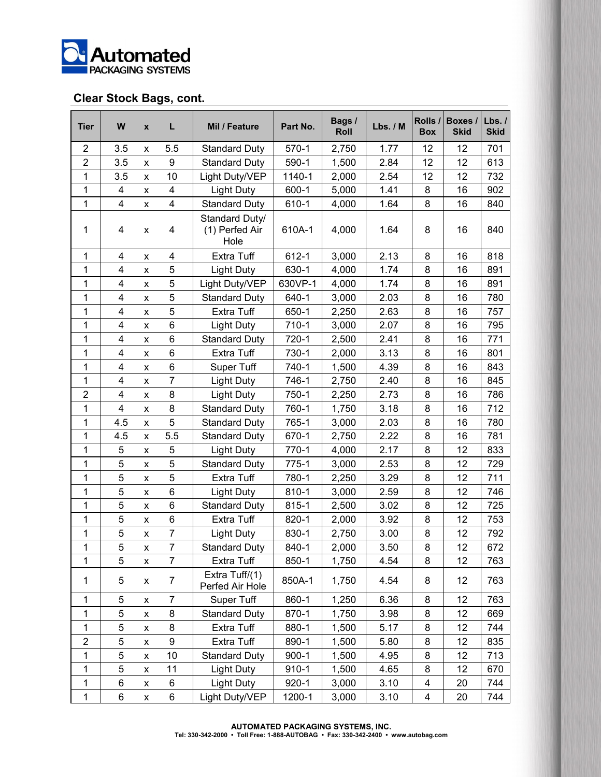

### **Clear Stock Bags, cont.**

| <b>Tier</b>    | W                       | $\pmb{\mathsf{x}}$ | L                       | Mil / Feature                            | Part No.  | Bags /<br>Roll | Lbs. / M | Rolls /<br><b>Box</b> | Boxes /<br><b>Skid</b> | Lbs.1<br><b>Skid</b> |
|----------------|-------------------------|--------------------|-------------------------|------------------------------------------|-----------|----------------|----------|-----------------------|------------------------|----------------------|
| $\overline{2}$ | 3.5                     | X                  | 5.5                     | <b>Standard Duty</b>                     | $570-1$   | 2,750          | 1.77     | 12                    | 12                     | 701                  |
| $\overline{2}$ | 3.5                     | X                  | 9                       | <b>Standard Duty</b>                     | 590-1     | 1,500          | 2.84     | 12                    | 12                     | 613                  |
| 1              | 3.5                     | x                  | 10                      | Light Duty/VEP                           | 1140-1    | 2,000          | 2.54     | 12                    | 12                     | 732                  |
| $\mathbf{1}$   | 4                       | X                  | $\overline{\mathbf{4}}$ | <b>Light Duty</b>                        | $600 - 1$ | 5,000          | 1.41     | 8                     | 16                     | 902                  |
| 1              | $\overline{\mathbf{4}}$ | X                  | $\overline{\mathbf{4}}$ | <b>Standard Duty</b>                     | 610-1     | 4,000          | 1.64     | 8                     | 16                     | 840                  |
| 1              | 4                       | X                  | 4                       | Standard Duty/<br>(1) Perfed Air<br>Hole | 610A-1    | 4,000          | 1.64     | 8                     | 16                     | 840                  |
| 1              | 4                       | x                  | 4                       | Extra Tuff                               | 612-1     | 3,000          | 2.13     | 8                     | 16                     | 818                  |
| 1              | 4                       | X                  | 5                       | <b>Light Duty</b>                        | 630-1     | 4,000          | 1.74     | 8                     | 16                     | 891                  |
| 1              | 4                       | X                  | 5                       | Light Duty/VEP                           | 630VP-1   | 4,000          | 1.74     | 8                     | 16                     | 891                  |
| 1              | 4                       | X                  | 5                       | <b>Standard Duty</b>                     | 640-1     | 3,000          | 2.03     | 8                     | 16                     | 780                  |
| 1              | 4                       | x                  | 5                       | Extra Tuff                               | 650-1     | 2,250          | 2.63     | 8                     | 16                     | 757                  |
| $\mathbf{1}$   | 4                       | X                  | 6                       | Light Duty                               | $710-1$   | 3,000          | 2.07     | 8                     | 16                     | 795                  |
| 1              | 4                       | X                  | 6                       | <b>Standard Duty</b>                     | 720-1     | 2,500          | 2.41     | 8                     | 16                     | 771                  |
| 1              | 4                       | x                  | 6                       | <b>Extra Tuff</b>                        | 730-1     | 2,000          | 3.13     | 8                     | 16                     | 801                  |
| $\mathbf{1}$   | 4                       | X                  | 6                       | Super Tuff                               | 740-1     | 1,500          | 4.39     | 8                     | 16                     | 843                  |
| 1              | 4                       | X                  | $\overline{7}$          | <b>Light Duty</b>                        | 746-1     | 2,750          | 2.40     | 8                     | 16                     | 845                  |
| $\overline{2}$ | 4                       | X                  | 8                       | Light Duty                               | 750-1     | 2,250          | 2.73     | 8                     | 16                     | 786                  |
| $\mathbf{1}$   | 4                       | X                  | 8                       | <b>Standard Duty</b>                     | 760-1     | 1,750          | 3.18     | 8                     | 16                     | 712                  |
| 1              | 4.5                     | x                  | 5                       | <b>Standard Duty</b>                     | 765-1     | 3,000          | 2.03     | 8                     | 16                     | 780                  |
| 1              | 4.5                     | X                  | 5.5                     | <b>Standard Duty</b>                     | 670-1     | 2,750          | 2.22     | 8                     | 16                     | 781                  |
| 1              | 5                       | X                  | 5                       | <b>Light Duty</b>                        | $770-1$   | 4,000          | 2.17     | 8                     | 12                     | 833                  |
| 1              | 5                       | x                  | 5                       | <b>Standard Duty</b>                     | $775-1$   | 3,000          | 2.53     | 8                     | 12                     | 729                  |
| 1              | 5                       | X                  | 5                       | Extra Tuff                               | 780-1     | 2,250          | 3.29     | 8                     | 12                     | 711                  |
| 1              | 5                       | X                  | 6                       | Light Duty                               | 810-1     | 3,000          | 2.59     | 8                     | 12                     | 746                  |
| 1              | 5                       | x                  | 6                       | <b>Standard Duty</b>                     | $815 - 1$ | 2,500          | 3.02     | 8                     | 12                     | 725                  |
| $\mathbf{1}$   | 5                       | X                  | 6                       | <b>Extra Tuff</b>                        | $820 - 1$ | 2,000          | 3.92     | 8                     | 12                     | 753                  |
| 1              | 5                       | X                  | $\overline{7}$          | <b>Light Duty</b>                        | 830-1     | 2,750          | 3.00     | 8                     | 12                     | 792                  |
| 1              | 5                       | x                  | 7                       | <b>Standard Duty</b>                     | 840-1     | 2,000          | 3.50     | 8                     | 12                     | 672                  |
| 1              | 5                       | X                  | $\overline{7}$          | Extra Tuff                               | $850 - 1$ | 1,750          | 4.54     | 8                     | 12                     | 763                  |
| 1              | 5                       | X                  | $\overline{7}$          | Extra Tuff/(1)<br>Perfed Air Hole        | 850A-1    | 1,750          | 4.54     | 8                     | 12                     | 763                  |
| 1              | 5                       | x                  | 7                       | Super Tuff                               | 860-1     | 1,250          | 6.36     | 8                     | 12                     | 763                  |
| $\mathbf{1}$   | 5                       | X                  | 8                       | <b>Standard Duty</b>                     | 870-1     | 1,750          | 3.98     | 8                     | 12                     | 669                  |
| $\mathbf{1}$   | 5                       | X                  | 8                       | Extra Tuff                               | 880-1     | 1,500          | 5.17     | 8                     | 12                     | 744                  |
| $\overline{2}$ | 5                       | X                  | 9                       | Extra Tuff                               | 890-1     | 1,500          | 5.80     | 8                     | 12                     | 835                  |
| $\mathbf{1}$   | 5                       | X                  | 10                      | <b>Standard Duty</b>                     | $900 - 1$ | 1,500          | 4.95     | 8                     | 12                     | 713                  |
| 1              | 5                       | X                  | 11                      | <b>Light Duty</b>                        | $910 - 1$ | 1,500          | 4.65     | 8                     | 12                     | 670                  |
| 1              | 6                       | X                  | 6                       | <b>Light Duty</b>                        | $920 - 1$ | 3,000          | 3.10     | 4                     | 20                     | 744                  |
| $\mathbf 1$    | 6                       | X                  | 6                       | Light Duty/VEP                           | 1200-1    | 3,000          | 3.10     | 4                     | 20                     | 744                  |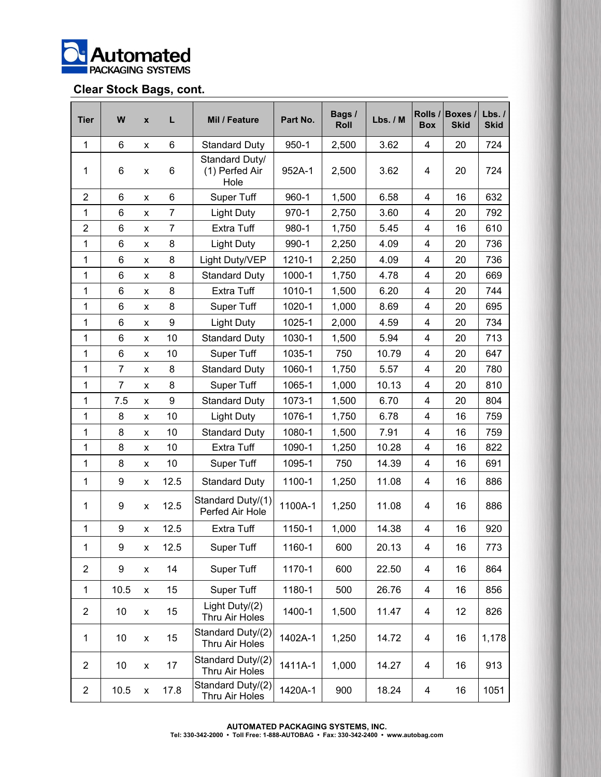

## **Clear Stock Bags, cont.**

| <b>Tier</b>    | W              | X | L              | Mil / Feature                            | Part No.  | Bags /<br>Roll | Lbs. / M | Rolls /<br><b>Box</b>   | <b>Boxes</b><br><b>Skid</b> | Lbs.1<br><b>Skid</b> |
|----------------|----------------|---|----------------|------------------------------------------|-----------|----------------|----------|-------------------------|-----------------------------|----------------------|
| 1              | 6              | x | 6              | <b>Standard Duty</b>                     | $950 - 1$ | 2,500          | 3.62     | 4                       | 20                          | 724                  |
| 1              | 6              | x | 6              | Standard Duty/<br>(1) Perfed Air<br>Hole | 952A-1    | 2,500          | 3.62     | 4                       | 20                          | 724                  |
| $\overline{2}$ | 6              | X | 6              | Super Tuff                               | $960 - 1$ | 1,500          | 6.58     | 4                       | 16                          | 632                  |
| 1              | 6              | x | $\overline{7}$ | <b>Light Duty</b>                        | $970 - 1$ | 2,750          | 3.60     | 4                       | 20                          | 792                  |
| $\overline{2}$ | 6              | x | $\overline{7}$ | Extra Tuff                               | 980-1     | 1,750          | 5.45     | 4                       | 16                          | 610                  |
| 1              | 6              | x | 8              | <b>Light Duty</b>                        | 990-1     | 2,250          | 4.09     | 4                       | 20                          | 736                  |
| 1              | 6              | x | 8              | Light Duty/VEP                           | 1210-1    | 2,250          | 4.09     | 4                       | 20                          | 736                  |
| 1              | 6              | x | 8              | <b>Standard Duty</b>                     | 1000-1    | 1,750          | 4.78     | 4                       | 20                          | 669                  |
| 1              | 6              | X | 8              | <b>Extra Tuff</b>                        | 1010-1    | 1,500          | 6.20     | 4                       | 20                          | 744                  |
| 1              | 6              | x | 8              | <b>Super Tuff</b>                        | 1020-1    | 1,000          | 8.69     | 4                       | 20                          | 695                  |
| 1              | 6              | x | 9              | <b>Light Duty</b>                        | 1025-1    | 2,000          | 4.59     | 4                       | 20                          | 734                  |
| 1              | 6              | X | 10             | <b>Standard Duty</b>                     | 1030-1    | 1,500          | 5.94     | 4                       | 20                          | 713                  |
| 1              | 6              | x | 10             | <b>Super Tuff</b>                        | 1035-1    | 750            | 10.79    | 4                       | 20                          | 647                  |
| 1              | $\overline{7}$ | x | 8              | <b>Standard Duty</b>                     | 1060-1    | 1,750          | 5.57     | 4                       | 20                          | 780                  |
| 1              | $\overline{7}$ | x | 8              | Super Tuff                               | 1065-1    | 1,000          | 10.13    | 4                       | 20                          | 810                  |
| 1              | 7.5            | x | 9              | <b>Standard Duty</b>                     | 1073-1    | 1,500          | 6.70     | 4                       | 20                          | 804                  |
| 1              | 8              | X | 10             | <b>Light Duty</b>                        | 1076-1    | 1,750          | 6.78     | 4                       | 16                          | 759                  |
| 1              | 8              | x | 10             | <b>Standard Duty</b>                     | 1080-1    | 1,500          | 7.91     | 4                       | 16                          | 759                  |
| 1              | 8              | x | 10             | <b>Extra Tuff</b>                        | 1090-1    | 1,250          | 10.28    | 4                       | 16                          | 822                  |
| 1              | 8              | X | 10             | Super Tuff                               | 1095-1    | 750            | 14.39    | 4                       | 16                          | 691                  |
| 1              | 9              | x | 12.5           | <b>Standard Duty</b>                     | 1100-1    | 1,250          | 11.08    | 4                       | 16                          | 886                  |
| 1              | 9              | x | 12.5           | Standard Duty/(1)<br>Perfed Air Hole     | 1100A-1   | 1,250          | 11.08    | 4                       | 16                          | 886                  |
| $\mathbf{1}$   | 9              | x | 12.5           | <b>Extra Tuff</b>                        | 1150-1    | 1,000          | 14.38    | 4                       | 16                          | 920                  |
| 1              | 9              | X | 12.5           | Super Tuff                               | 1160-1    | 600            | 20.13    | 4                       | 16                          | 773                  |
| $\overline{2}$ | 9              | X | 14             | Super Tuff                               | 1170-1    | 600            | 22.50    | $\overline{\mathbf{4}}$ | 16                          | 864                  |
| $\mathbf{1}$   | 10.5           | X | 15             | Super Tuff                               | 1180-1    | 500            | 26.76    | $\overline{\mathbf{4}}$ | 16                          | 856                  |
| $\overline{2}$ | 10             | X | 15             | Light Duty/(2)<br>Thru Air Holes         | 1400-1    | 1,500          | 11.47    | 4                       | 12                          | 826                  |
| 1              | 10             | X | 15             | Standard Duty/(2)<br>Thru Air Holes      | 1402A-1   | 1,250          | 14.72    | $\overline{\mathbf{4}}$ | 16                          | 1,178                |
| $\overline{2}$ | 10             | X | 17             | Standard Duty/(2)<br>Thru Air Holes      | 1411A-1   | 1,000          | 14.27    | $\overline{\mathbf{4}}$ | 16                          | 913                  |
| $\overline{c}$ | 10.5           | X | 17.8           | Standard Duty/(2)<br>Thru Air Holes      | 1420A-1   | 900            | 18.24    | 4                       | 16                          | 1051                 |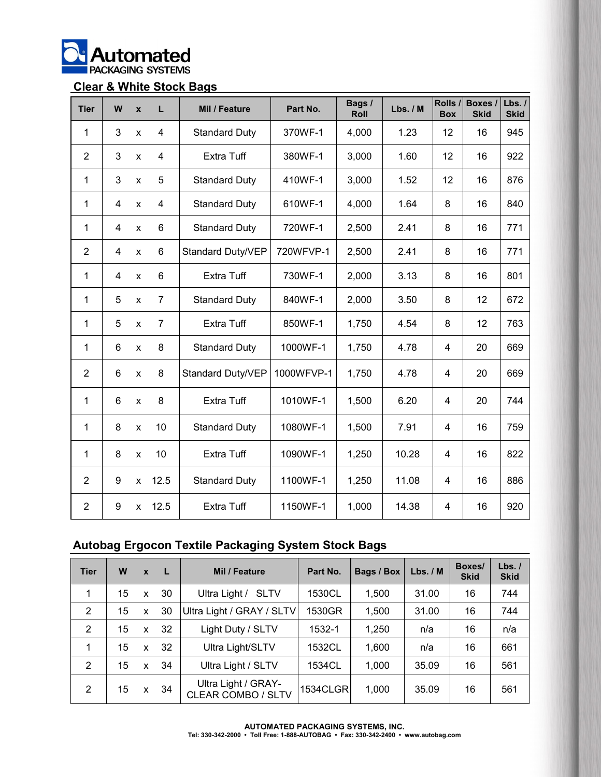

### **Clear & White Stock Bags**

| <b>Tier</b>    | W              | $\mathbf{x}$   | L               | Mil / Feature        | Part No.   | Bags /<br>Roll | Lbs. / M | Rolls /<br><b>Box</b> | Boxes /<br><b>Skid</b> | Lbs.1<br><b>Skid</b> |
|----------------|----------------|----------------|-----------------|----------------------|------------|----------------|----------|-----------------------|------------------------|----------------------|
| 1              | 3              | X              | $\overline{4}$  | <b>Standard Duty</b> | 370WF-1    | 4,000          | 1.23     | 12                    | 16                     | 945                  |
| 2              | 3              | $\mathsf{x}$   | 4               | Extra Tuff           | 380WF-1    | 3,000          | 1.60     | 12                    | 16                     | 922                  |
| 1              | 3              | $\pmb{\times}$ | 5               | <b>Standard Duty</b> | 410WF-1    | 3,000          | 1.52     | 12                    | 16                     | 876                  |
| 1              | $\overline{4}$ | $\mathsf{x}$   | $\overline{4}$  | <b>Standard Duty</b> | 610WF-1    | 4,000          | 1.64     | 8                     | 16                     | 840                  |
| 1              | $\overline{4}$ | X              | 6               | <b>Standard Duty</b> | 720WF-1    | 2,500          | 2.41     | 8                     | 16                     | 771                  |
| 2              | 4              | $\mathsf{x}$   | 6               | Standard Duty/VEP    | 720WFVP-1  | 2,500          | 2.41     | 8                     | 16                     | 771                  |
| 1              | 4              | $\mathsf{x}$   | $6\phantom{1}6$ | Extra Tuff           | 730WF-1    | 2,000          | 3.13     | 8                     | 16                     | 801                  |
| 1              | 5              | X              | $\overline{7}$  | <b>Standard Duty</b> | 840WF-1    | 2,000          | 3.50     | 8                     | 12                     | 672                  |
| 1              | 5              | $\mathsf{x}$   | $\overline{7}$  | Extra Tuff           | 850WF-1    | 1,750          | 4.54     | 8                     | 12                     | 763                  |
| 1              | 6              | $\mathsf{x}$   | 8               | <b>Standard Duty</b> | 1000WF-1   | 1,750          | 4.78     | $\overline{4}$        | 20                     | 669                  |
| $\overline{2}$ | 6              | $\mathsf{x}$   | 8               | Standard Duty/VEP    | 1000WFVP-1 | 1,750          | 4.78     | 4                     | 20                     | 669                  |
| 1              | 6              | X              | 8               | Extra Tuff           | 1010WF-1   | 1,500          | 6.20     | 4                     | 20                     | 744                  |
| 1              | 8              | $\mathsf{x}$   | 10              | <b>Standard Duty</b> | 1080WF-1   | 1,500          | 7.91     | 4                     | 16                     | 759                  |
| 1              | 8              | $\mathsf{x}$   | 10              | Extra Tuff           | 1090WF-1   | 1,250          | 10.28    | 4                     | 16                     | 822                  |
| 2              | 9              | X              | 12.5            | <b>Standard Duty</b> | 1100WF-1   | 1,250          | 11.08    | 4                     | 16                     | 886                  |
| 2              | 9              | x              | 12.5            | <b>Extra Tuff</b>    | 1150WF-1   | 1,000          | 14.38    | 4                     | 16                     | 920                  |

## **Autobag Ergocon Textile Packaging System Stock Bags**

| <b>Tier</b> | W  | $\mathbf{x}$ | - L | Mil / Feature                                    | Part No. | <b>Bags / Box</b> | Lbs. / M | Boxes/<br><b>Skid</b> | Lbs.<br><b>Skid</b> |
|-------------|----|--------------|-----|--------------------------------------------------|----------|-------------------|----------|-----------------------|---------------------|
| 1           | 15 | x            | 30  | Ultra Light /<br><b>SLTV</b>                     | 1530CL   | 1,500             | 31.00    | 16                    | 744                 |
| 2           | 15 | X            | 30  | Ultra Light / GRAY / SLTV                        | 1530GR   | 1,500             | 31.00    | 16                    | 744                 |
| 2           | 15 | x            | 32  | Light Duty / SLTV                                | 1532-1   | 1,250             | n/a      | 16                    | n/a                 |
| 1           | 15 | x            | 32  | Ultra Light/SLTV                                 | 1532CL   | 1,600             | n/a      | 16                    | 661                 |
| 2           | 15 | X            | 34  | Ultra Light / SLTV                               | 1534CL   | 1,000             | 35.09    | 16                    | 561                 |
| 2           | 15 | x.           | 34  | Ultra Light / GRAY-<br><b>CLEAR COMBO / SLTV</b> | 1534CLGR | 1,000             | 35.09    | 16                    | 561                 |